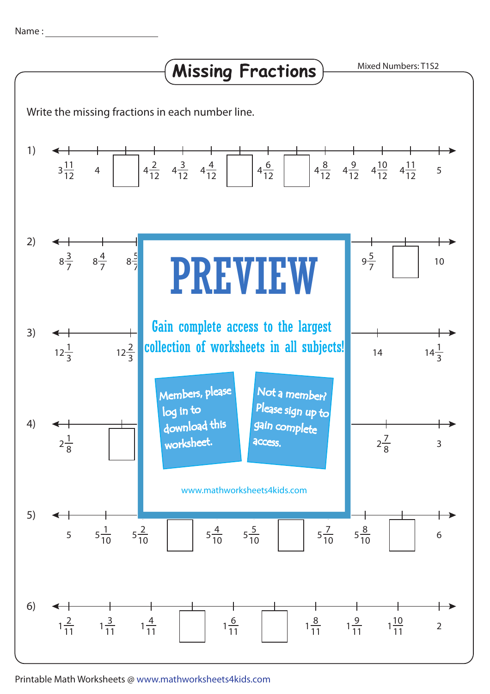